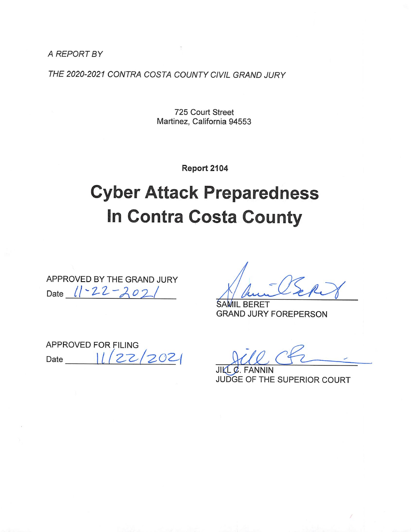A REPORT BY

THE 2020-2021 CONTRA COSTA COUNTY CIVIL GRAND JURY

725 Court Street Martinez, California 94553

Report 2104

# **Cyber Attack Preparedness In Contra Costa County**

APPROVED BY THE GRAND JURY Date 11-22-202

**BERET GRAND JURY FOREPERSON** 

APPROVED FOR FILING  $2021$  $27$ Date

JII JUDGE OF THE SUPERIOR COURT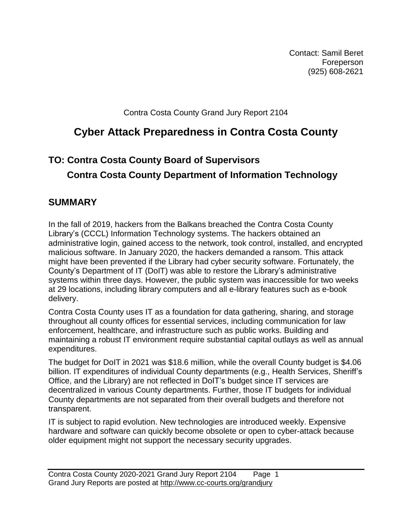Contact: Samil Beret **Foreperson** (925) 608-2621

Contra Costa County Grand Jury Report 2104

## **Cyber Attack Preparedness in Contra Costa County**

# **TO: Contra Costa County Board of Supervisors Contra Costa County Department of Information Technology**

## **SUMMARY**

In the fall of 2019, hackers from the Balkans breached the Contra Costa County Library's (CCCL) Information Technology systems. The hackers obtained an administrative login, gained access to the network, took control, installed, and encrypted malicious software. In January 2020, the hackers demanded a ransom. This attack might have been prevented if the Library had cyber security software. Fortunately, the County's Department of IT (DoIT) was able to restore the Library's administrative systems within three days. However, the public system was inaccessible for two weeks at 29 locations, including library computers and all e-library features such as e-book delivery.

Contra Costa County uses IT as a foundation for data gathering, sharing, and storage throughout all county offices for essential services, including communication for law enforcement, healthcare, and infrastructure such as public works. Building and maintaining a robust IT environment require substantial capital outlays as well as annual expenditures.

The budget for DoIT in 2021 was \$18.6 million, while the overall County budget is \$4.06 billion. IT expenditures of individual County departments (e.g., Health Services, Sheriff's Office, and the Library) are not reflected in DoIT's budget since IT services are decentralized in various County departments. Further, those IT budgets for individual County departments are not separated from their overall budgets and therefore not transparent.

IT is subject to rapid evolution. New technologies are introduced weekly. Expensive hardware and software can quickly become obsolete or open to cyber-attack because older equipment might not support the necessary security upgrades.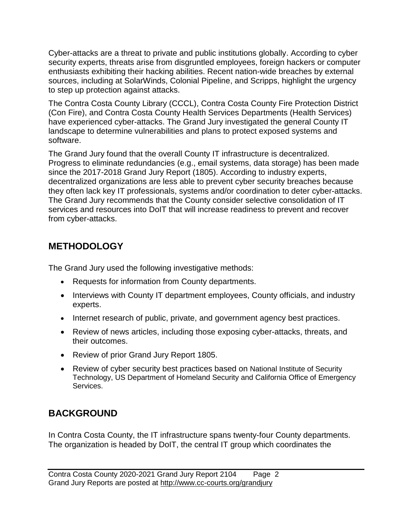Cyber-attacks are a threat to private and public institutions globally. According to cyber security experts, threats arise from disgruntled employees, foreign hackers or computer enthusiasts exhibiting their hacking abilities. Recent nation-wide breaches by external sources, including at SolarWinds, Colonial Pipeline, and Scripps, highlight the urgency to step up protection against attacks.

The Contra Costa County Library (CCCL), Contra Costa County Fire Protection District (Con Fire), and Contra Costa County Health Services Departments (Health Services) have experienced cyber-attacks. The Grand Jury investigated the general County IT landscape to determine vulnerabilities and plans to protect exposed systems and software.

The Grand Jury found that the overall County IT infrastructure is decentralized. Progress to eliminate redundancies (e.g., email systems, data storage) has been made since the 2017-2018 Grand Jury Report (1805). According to industry experts, decentralized organizations are less able to prevent cyber security breaches because they often lack key IT professionals, systems and/or coordination to deter cyber-attacks. The Grand Jury recommends that the County consider selective consolidation of IT services and resources into DoIT that will increase readiness to prevent and recover from cyber-attacks.

## **METHODOLOGY**

The Grand Jury used the following investigative methods:

- Requests for information from County departments.
- Interviews with County IT department employees, County officials, and industry experts.
- Internet research of public, private, and government agency best practices.
- Review of news articles, including those exposing cyber-attacks, threats, and their outcomes.
- Review of prior Grand Jury Report 1805.
- Review of cyber security best practices based on National Institute of Security Technology, US Department of Homeland Security and California Office of Emergency Services.

## **BACKGROUND**

In Contra Costa County, the IT infrastructure spans twenty-four County departments. The organization is headed by DoIT, the central IT group which coordinates the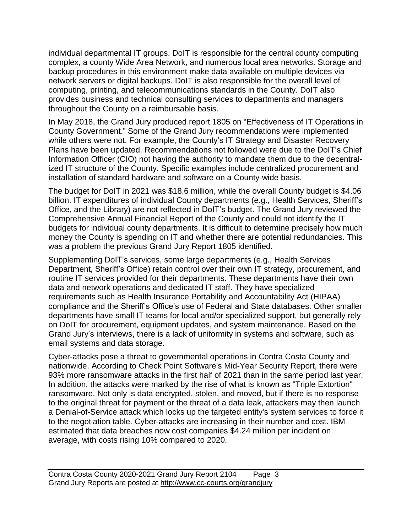individual departmental IT groups. DoIT is responsible for the central county computing complex, a county Wide Area Network, and numerous local area networks. Storage and backup procedures in this environment make data available on multiple devices via network servers or digital backups. DoIT is also responsible for the overall level of computing, printing, and telecommunications standards in the County. DoIT also provides business and technical consulting services to departments and managers throughout the County on a reimbursable basis.

In May 2018, the Grand Jury produced report 1805 on "Effectiveness of IT Operations in County Government." Some of the Grand Jury recommendations were implemented while others were not. For example, the County's IT Strategy and Disaster Recovery Plans have been updated. Recommendations not followed were due to the DoIT's Chief Information Officer (CIO) not having the authority to mandate them due to the decentralized IT structure of the County. Specific examples include centralized procurement and installation of standard hardware and software on a County-wide basis.

The budget for DoIT in 2021 was \$18.6 million, while the overall County budget is \$4.06 billion. IT expenditures of individual County departments (e.g., Health Services, Sheriff's Office, and the Library) are not reflected in DoIT's budget. The Grand Jury reviewed the Comprehensive Annual Financial Report of the County and could not identify the IT budgets for individual county departments. It is difficult to determine precisely how much money the County is spending on IT and whether there are potential redundancies. This was a problem the previous Grand Jury Report 1805 identified.

Supplementing DoIT's services, some large departments (e.g., Health Services Department, Sheriff's Office) retain control over their own IT strategy, procurement, and routine IT services provided for their departments. These departments have their own data and network operations and dedicated IT staff. They have specialized requirements such as Health Insurance Portability and Accountability Act (HIPAA) compliance and the Sheriff's Office's use of Federal and State databases. Other smaller departments have small IT teams for local and/or specialized support, but generally rely on DoIT for procurement, equipment updates, and system maintenance. Based on the Grand Jury's interviews, there is a lack of uniformity in systems and software, such as email systems and data storage.

Cyber-attacks pose a threat to governmental operations in Contra Costa County and nationwide. According to Check Point Software's Mid-Year Security Report, there were 93% more ransomware attacks in the first half of 2021 than in the same period last year. In addition, the attacks were marked by the rise of what is known as "Triple Extortion" ransomware. Not only is data encrypted, stolen, and moved, but if there is no response to the original threat for payment or the threat of a data leak, attackers may then launch a Denial-of-Service attack which locks up the targeted entity's system services to force it to the negotiation table. Cyber-attacks are increasing in their number and cost. IBM estimated that data breaches now cost companies \$4.24 million per incident on average, with costs rising 10% compared to 2020.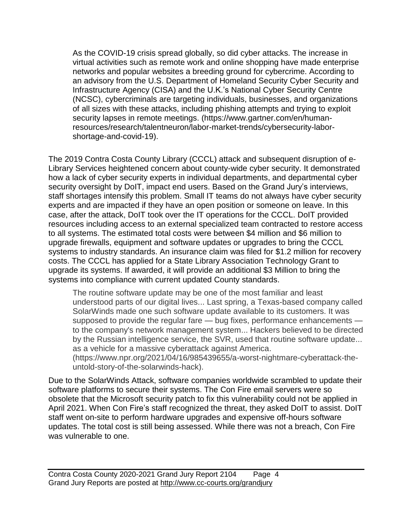As the COVID-19 crisis spread globally, so did cyber attacks. The increase in virtual activities such as remote work and online shopping have made enterprise networks and popular websites a breeding ground for cybercrime. According to an advisory from the U.S. Department of Homeland Security Cyber Security and Infrastructure Agency (CISA) and the U.K.'s National Cyber Security Centre (NCSC), cybercriminals are targeting individuals, businesses, and organizations of all sizes with these attacks, including phishing attempts and trying to exploit security lapses in remote meetings. (https://www.gartner.com/en/humanresources/research/talentneuron/labor-market-trends/cybersecurity-laborshortage-and-covid-19).

The 2019 Contra Costa County Library (CCCL) attack and subsequent disruption of e-Library Services heightened concern about county-wide cyber security. It demonstrated how a lack of cyber security experts in individual departments, and departmental cyber security oversight by DoIT, impact end users. Based on the Grand Jury's interviews, staff shortages intensify this problem. Small IT teams do not always have cyber security experts and are impacted if they have an open position or someone on leave. In this case, after the attack, DoIT took over the IT operations for the CCCL. DoIT provided resources including access to an external specialized team contracted to restore access to all systems. The estimated total costs were between \$4 million and \$6 million to upgrade firewalls, equipment and software updates or upgrades to bring the CCCL systems to industry standards. An insurance claim was filed for \$1.2 million for recovery costs. The CCCL has applied for a State Library Association Technology Grant to upgrade its systems. If awarded, it will provide an additional \$3 Million to bring the systems into compliance with current updated County standards.

The routine software update may be one of the most familiar and least understood parts of our digital lives... Last spring, a Texas-based company called SolarWinds made one such software update available to its customers. It was supposed to provide the regular fare — bug fixes, performance enhancements to the company's network management system... Hackers believed to be directed by the Russian intelligence service, the SVR, used that routine software update... as a vehicle for a massive cyberattack against America.

(https://www.npr.org/2021/04/16/985439655/a-worst-nightmare-cyberattack-theuntold-story-of-the-solarwinds-hack).

Due to the SolarWinds Attack, software companies worldwide scrambled to update their software platforms to secure their systems. The Con Fire email servers were so obsolete that the Microsoft security patch to fix this vulnerability could not be applied in April 2021. When Con Fire's staff recognized the threat, they asked DoIT to assist. DoIT staff went on-site to perform hardware upgrades and expensive off-hours software updates. The total cost is still being assessed. While there was not a breach, Con Fire was vulnerable to one.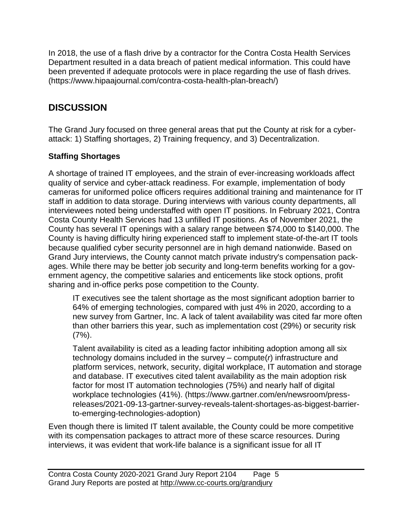In 2018, the use of a flash drive by a contractor for the Contra Costa Health Services Department resulted in a data breach of patient medical information. This could have been prevented if adequate protocols were in place regarding the use of flash drives. (https://www.hipaajournal.com/contra-costa-health-plan-breach/)

## **DISCUSSION**

The Grand Jury focused on three general areas that put the County at risk for a cyberattack: 1) Staffing shortages, 2) Training frequency, and 3) Decentralization.

#### **Staffing Shortages**

A shortage of trained IT employees, and the strain of ever-increasing workloads affect quality of service and cyber-attack readiness. For example, implementation of body cameras for uniformed police officers requires additional training and maintenance for IT staff in addition to data storage. During interviews with various county departments, all interviewees noted being understaffed with open IT positions. In February 2021, Contra Costa County Health Services had 13 unfilled IT positions. As of November 2021, the County has several IT openings with a salary range between \$74,000 to \$140,000. The County is having difficulty hiring experienced staff to implement state-of-the-art IT tools because qualified cyber security personnel are in high demand nationwide. Based on Grand Jury interviews, the County cannot match private industry's compensation packages. While there may be better job security and long-term benefits working for a government agency, the competitive salaries and enticements like stock options, profit sharing and in-office perks pose competition to the County.

IT executives see the talent shortage as the most significant adoption barrier to 64% of emerging technologies, compared with just 4% in 2020, according to a new survey from Gartner, Inc. A lack of talent availability was cited far more often than other barriers this year, such as implementation cost (29%) or security risk (7%).

Talent availability is cited as a leading factor inhibiting adoption among all six technology domains included in the survey – compute(*r*) infrastructure and platform services, network, security, digital workplace, IT automation and storage and database. IT executives cited talent availability as the main adoption risk factor for most IT automation technologies (75%) and nearly half of digital workplace technologies (41%). [\(https://www.gartner.com/en/newsroom/press](https://www.gartner.com/en/newsroom/press-releases/2021-09-13-gartner-survey-reveals-talent-shortages-as-biggest-barrier-to-emerging-technologies-adoption)[releases/2021-09-13-gartner-survey-reveals-talent-shortages-as-biggest-barrier](https://www.gartner.com/en/newsroom/press-releases/2021-09-13-gartner-survey-reveals-talent-shortages-as-biggest-barrier-to-emerging-technologies-adoption)[to-emerging-technologies-adoption\)](https://www.gartner.com/en/newsroom/press-releases/2021-09-13-gartner-survey-reveals-talent-shortages-as-biggest-barrier-to-emerging-technologies-adoption)

Even though there is limited IT talent available, the County could be more competitive with its compensation packages to attract more of these scarce resources. During interviews, it was evident that work-life balance is a significant issue for all IT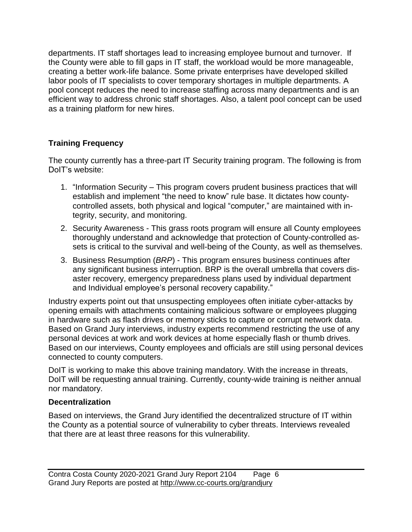departments. IT staff shortages lead to increasing employee burnout and turnover. If the County were able to fill gaps in IT staff, the workload would be more manageable, creating a better work-life balance. Some private enterprises have developed skilled labor pools of IT specialists to cover temporary shortages in multiple departments. A pool concept reduces the need to increase staffing across many departments and is an efficient way to address chronic staff shortages. Also, a talent pool concept can be used as a training platform for new hires.

#### **Training Frequency**

The county currently has a three-part IT Security training program. The following is from DoIT's website:

- 1. "Information Security This program covers prudent business practices that will establish and implement "the need to know" rule base. It dictates how countycontrolled assets, both physical and logical "computer," are maintained with integrity, security, and monitoring.
- 2. Security Awareness This grass roots program will ensure all County employees thoroughly understand and acknowledge that protection of County-controlled assets is critical to the survival and well-being of the County, as well as themselves.
- 3. Business Resumption (*BRP*) This program ensures business continues after any significant business interruption. BRP is the overall umbrella that covers disaster recovery, emergency preparedness plans used by individual department and Individual employee's personal recovery capability."

Industry experts point out that unsuspecting employees often initiate cyber-attacks by opening emails with attachments containing malicious software or employees plugging in hardware such as flash drives or memory sticks to capture or corrupt network data. Based on Grand Jury interviews, industry experts recommend restricting the use of any personal devices at work and work devices at home especially flash or thumb drives. Based on our interviews, County employees and officials are still using personal devices connected to county computers.

DoIT is working to make this above training mandatory. With the increase in threats, DoIT will be requesting annual training. Currently, county-wide training is neither annual nor mandatory.

#### **Decentralization**

Based on interviews, the Grand Jury identified the decentralized structure of IT within the County as a potential source of vulnerability to cyber threats. Interviews revealed that there are at least three reasons for this vulnerability.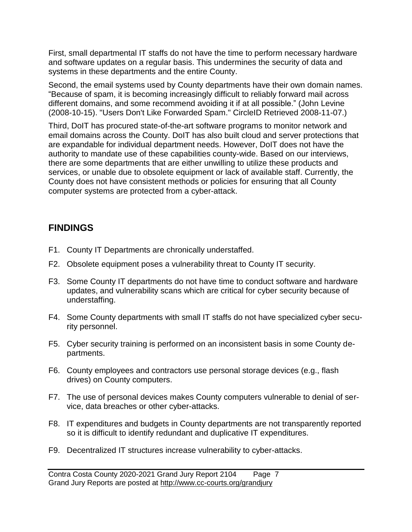First, small departmental IT staffs do not have the time to perform necessary hardware and software updates on a regular basis. This undermines the security of data and systems in these departments and the entire County.

Second, the email systems used by County departments have their own domain names. "Because of spam, it is becoming increasingly difficult to reliably forward mail across different domains, and some recommend avoiding it if at all possible." (John Levine (2008-10-15). "Users Don't Like Forwarded Spam." CircleID Retrieved 2008-11-07.)

Third, DoIT has procured state-of-the-art software programs to monitor network and email domains across the County. DoIT has also built cloud and server protections that are expandable for individual department needs. However, DoIT does not have the authority to mandate use of these capabilities county-wide. Based on our interviews, there are some departments that are either unwilling to utilize these products and services, or unable due to obsolete equipment or lack of available staff. Currently, the County does not have consistent methods or policies for ensuring that all County computer systems are protected from a cyber-attack.

## **FINDINGS**

- F1. County IT Departments are chronically understaffed.
- F2. Obsolete equipment poses a vulnerability threat to County IT security.
- F3. Some County IT departments do not have time to conduct software and hardware updates, and vulnerability scans which are critical for cyber security because of understaffing.
- F4. Some County departments with small IT staffs do not have specialized cyber security personnel.
- F5. Cyber security training is performed on an inconsistent basis in some County departments.
- F6. County employees and contractors use personal storage devices (e.g., flash drives) on County computers.
- F7. The use of personal devices makes County computers vulnerable to denial of service, data breaches or other cyber-attacks.
- F8. IT expenditures and budgets in County departments are not transparently reported so it is difficult to identify redundant and duplicative IT expenditures.
- F9. Decentralized IT structures increase vulnerability to cyber-attacks.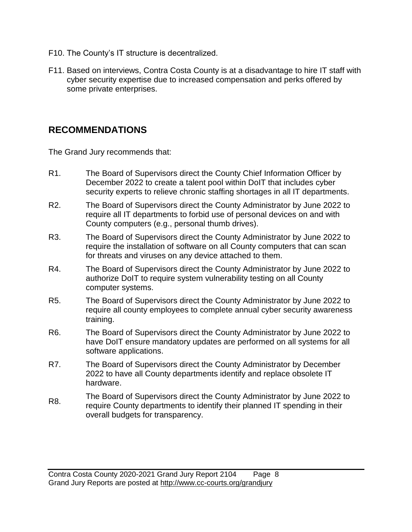- F10. The County's IT structure is decentralized.
- F11. Based on interviews, Contra Costa County is at a disadvantage to hire IT staff with cyber security expertise due to increased compensation and perks offered by some private enterprises.

### **RECOMMENDATIONS**

The Grand Jury recommends that:

- R1. The Board of Supervisors direct the County Chief Information Officer by December 2022 to create a talent pool within DoIT that includes cyber security experts to relieve chronic staffing shortages in all IT departments.
- R2. The Board of Supervisors direct the County Administrator by June 2022 to require all IT departments to forbid use of personal devices on and with County computers (e.g., personal thumb drives).
- R3. The Board of Supervisors direct the County Administrator by June 2022 to require the installation of software on all County computers that can scan for threats and viruses on any device attached to them.
- R4. The Board of Supervisors direct the County Administrator by June 2022 to authorize DoIT to require system vulnerability testing on all County computer systems.
- R5. The Board of Supervisors direct the County Administrator by June 2022 to require all county employees to complete annual cyber security awareness training.
- R6. The Board of Supervisors direct the County Administrator by June 2022 to have DoIT ensure mandatory updates are performed on all systems for all software applications.
- R7. The Board of Supervisors direct the County Administrator by December 2022 to have all County departments identify and replace obsolete IT hardware.
- R8. The Board of Supervisors direct the County Administrator by June 2022 to require County departments to identify their planned IT spending in their overall budgets for transparency.